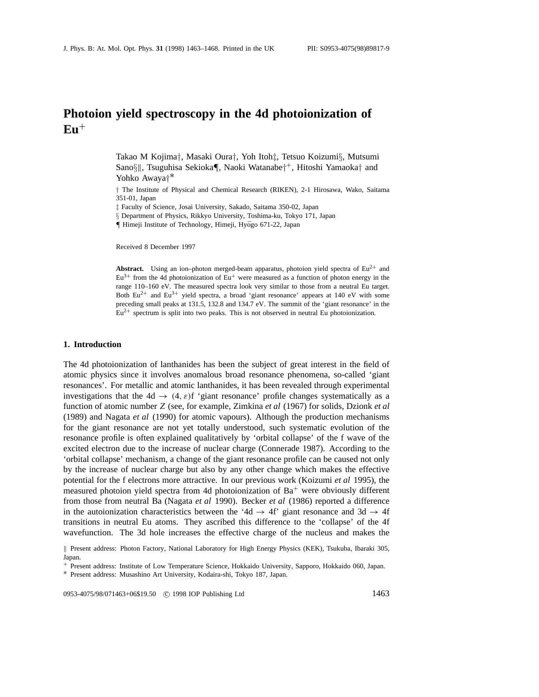# **Photoion yield spectroscopy in the 4d photoionization of**  $E<sub>u</sub>$ <sup>+</sup>

Takao M Kojima*†*, Masaki Oura*†*, Yoh Itoh*‡*, Tetsuo Koizumi*§*, Mutsumi Sano*§*k, Tsuguhisa Sekioka*¶*, Naoki Watanabe*†*<sup>+</sup>, Hitoshi Yamaoka*†* and Yohko Awaya*†*∗

*†* The Institute of Physical and Chemical Research (RIKEN), 2-1 Hirosawa, Wako, Saitama 351-01, Japan

*‡* Faculty of Science, Josai University, Sakado, Saitama 350-02, Japan

*§* Department of Physics, Rikkyo University, Toshima-ku, Tokyo 171, Japan

*¶* Himeji Institute of Technology, Himeji, Hyogo 671-22, Japan ¯

Received 8 December 1997

**Abstract.** Using an ion–photon merged-beam apparatus, photoion yield spectra of  $Eu^{2+}$  and  $Eu<sup>3+</sup>$  from the 4d photoionization of  $Eu<sup>+</sup>$  were measured as a function of photon energy in the range 110–160 eV. The measured spectra look very similar to those from a neutral Eu target. Both  $Eu^{2+}$  and  $Eu^{3+}$  yield spectra, a broad 'giant resonance' appears at 140 eV with some preceding small peaks at 131.5, 132.8 and 134.7 eV. The summit of the 'giant resonance' in the  $Eu<sup>2+</sup>$  spectrum is split into two peaks. This is not observed in neutral Eu photoionization.

#### **1. Introduction**

The 4d photoionization of lanthanides has been the subject of great interest in the field of atomic physics since it involves anomalous broad resonance phenomena, so-called 'giant resonances'. For metallic and atomic lanthanides, it has been revealed through experimental investigations that the  $4d \rightarrow (4, \varepsilon)$ f 'giant resonance' profile changes systematically as a function of atomic number *Z* (see, for example, Zimkina *et al* (1967) for solids, Dzionk *et al* (1989) and Nagata *et al* (1990) for atomic vapours). Although the production mechanisms for the giant resonance are not yet totally understood, such systematic evolution of the resonance profile is often explained qualitatively by 'orbital collapse' of the f wave of the excited electron due to the increase of nuclear charge (Connerade 1987). According to the 'orbital collapse' mechanism, a change of the giant resonance profile can be caused not only by the increase of nuclear charge but also by any other change which makes the effective potential for the f electrons more attractive. In our previous work (Koizumi *et al* 1995), the measured photoion yield spectra from 4d photoionization of  $Ba<sup>+</sup>$  were obviously different from those from neutral Ba (Nagata *et al* 1990). Becker *et al* (1986) reported a difference in the autoionization characteristics between the '4d  $\rightarrow$  4f' giant resonance and 3d  $\rightarrow$  4f transitions in neutral Eu atoms. They ascribed this difference to the 'collapse' of the 4f wavefunction. The 3d hole increases the effective charge of the nucleus and makes the

0953-4075/98/071463+06\$19.50 <sup>c</sup> 1998 IOP Publishing Ltd 1463

k Present address: Photon Factory, National Laboratory for High Energy Physics (KEK), Tsukuba, Ibaraki 305, Japan.

<sup>+</sup> Present address: Institute of Low Temperature Science, Hokkaido University, Sapporo, Hokkaido 060, Japan.

<sup>∗</sup> Present address: Musashino Art University, Kodaira-shi, Tokyo 187, Japan.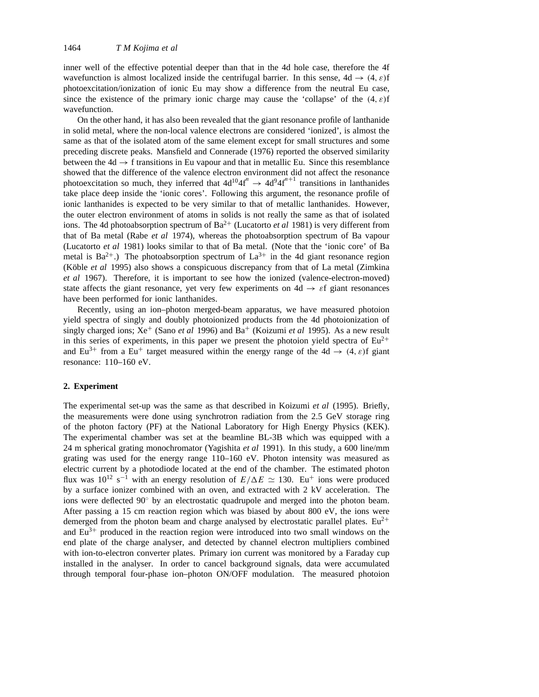inner well of the effective potential deeper than that in the 4d hole case, therefore the 4f wavefunction is almost localized inside the centrifugal barrier. In this sense, 4d → *(*4*, ε)*f photoexcitation/ionization of ionic Eu may show a difference from the neutral Eu case, since the existence of the primary ionic charge may cause the 'collapse' of the *(*4*, ε)*f wavefunction.

On the other hand, it has also been revealed that the giant resonance profile of lanthanide in solid metal, where the non-local valence electrons are considered 'ionized', is almost the same as that of the isolated atom of the same element except for small structures and some preceding discrete peaks. Mansfield and Connerade (1976) reported the observed similarity between the  $4d \rightarrow f$  transitions in Eu vapour and that in metallic Eu. Since this resemblance showed that the difference of the valence electron environment did not affect the resonance photoexcitation so much, they inferred that  $4d^{10}4f'' \rightarrow 4d^{9}4f''^{11}$  transitions in lanthanides take place deep inside the 'ionic cores'. Following this argument, the resonance profile of ionic lanthanides is expected to be very similar to that of metallic lanthanides. However, the outer electron environment of atoms in solids is not really the same as that of isolated ions. The 4d photoabsorption spectrum of Ba<sup>2+</sup> (Lucatorto *et al* 1981) is very different from that of Ba metal (Rabe *et al* 1974), whereas the photoabsorption spectrum of Ba vapour (Lucatorto *et al* 1981) looks similar to that of Ba metal. (Note that the 'ionic core' of Ba metal is  $Ba^{2+}$ .) The photoabsorption spectrum of  $La^{3+}$  in the 4d giant resonance region (Köble *et al* 1995) also shows a conspicuous discrepancy from that of La metal (Zimkina *et al* 1967). Therefore, it is important to see how the ionized (valence-electron-moved) state affects the giant resonance, yet very few experiments on  $4d \rightarrow \varepsilon f$  giant resonances have been performed for ionic lanthanides.

Recently, using an ion–photon merged-beam apparatus, we have measured photoion yield spectra of singly and doubly photoionized products from the 4d photoionization of singly charged ions;  $Xe^+$  (Sano *et al* 1996) and Ba<sup>+</sup> (Koizumi *et al* 1995). As a new result in this series of experiments, in this paper we present the photoion yield spectra of  $Eu^{2+}$ and Eu<sup>3+</sup> from a Eu<sup>+</sup> target measured within the energy range of the 4d  $\rightarrow$  (4, *ε*)f giant resonance: 110–160 eV.

#### **2. Experiment**

The experimental set-up was the same as that described in Koizumi *et al* (1995). Briefly, the measurements were done using synchrotron radiation from the 2.5 GeV storage ring of the photon factory (PF) at the National Laboratory for High Energy Physics (KEK). The experimental chamber was set at the beamline BL-3B which was equipped with a 24 m spherical grating monochromator (Yagishita *et al* 1991). In this study, a 600 line/mm grating was used for the energy range 110–160 eV. Photon intensity was measured as electric current by a photodiode located at the end of the chamber. The estimated photon flux was  $10^{12}$  s<sup>-1</sup> with an energy resolution of  $E/\Delta E \simeq 130$ . Eu<sup>+</sup> ions were produced by a surface ionizer combined with an oven, and extracted with 2 kV acceleration. The ions were deflected 90◦ by an electrostatic quadrupole and merged into the photon beam. After passing a 15 cm reaction region which was biased by about 800 eV, the ions were demerged from the photon beam and charge analysed by electrostatic parallel plates.  $Eu^{2+}$ and  $Eu^{3+}$  produced in the reaction region were introduced into two small windows on the end plate of the charge analyser, and detected by channel electron multipliers combined with ion-to-electron converter plates. Primary ion current was monitored by a Faraday cup installed in the analyser. In order to cancel background signals, data were accumulated through temporal four-phase ion–photon ON/OFF modulation. The measured photoion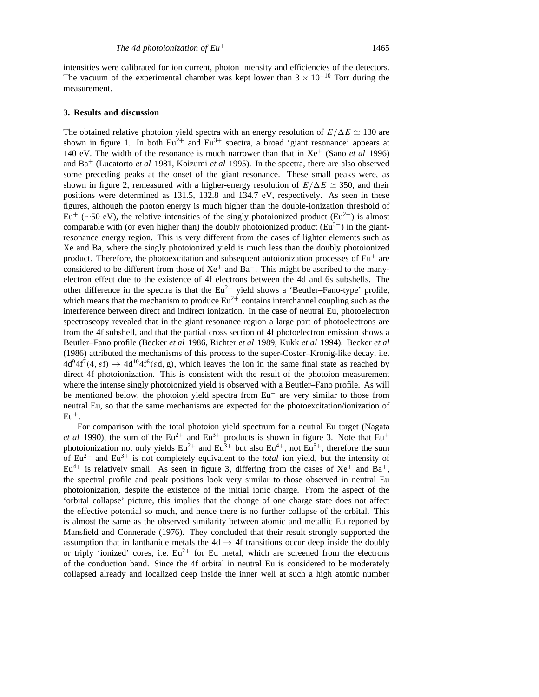intensities were calibrated for ion current, photon intensity and efficiencies of the detectors. The vacuum of the experimental chamber was kept lower than  $3 \times 10^{-10}$  Torr during the measurement.

#### **3. Results and discussion**

The obtained relative photoion yield spectra with an energy resolution of  $E/\Delta E \simeq 130$  are shown in figure 1. In both  $Eu^{2+}$  and  $Eu^{3+}$  spectra, a broad 'giant resonance' appears at 140 eV. The width of the resonance is much narrower than that in Xe<sup>+</sup> (Sano *et al* 1996) and Ba<sup>+</sup> (Lucatorto *et al* 1981, Koizumi *et al* 1995). In the spectra, there are also observed some preceding peaks at the onset of the giant resonance. These small peaks were, as shown in figure 2, remeasured with a higher-energy resolution of  $E/\Delta E \simeq 350$ , and their positions were determined as 131.5, 132.8 and 134.7 eV, respectively. As seen in these figures, although the photon energy is much higher than the double-ionization threshold of Eu<sup>+</sup> (∼50 eV), the relative intensities of the singly photoionized product (Eu<sup>2+</sup>) is almost comparable with (or even higher than) the doubly photoionized product  $(Eu<sup>3+</sup>)$  in the giantresonance energy region. This is very different from the cases of lighter elements such as Xe and Ba, where the singly photoionized yield is much less than the doubly photoionized product. Therefore, the photoexcitation and subsequent autoionization processes of  $Eu<sup>+</sup>$  are considered to be different from those of  $Xe^+$  and  $Ba^+$ . This might be ascribed to the manyelectron effect due to the existence of 4f electrons between the 4d and 6s subshells. The other difference in the spectra is that the  $Eu^{2+}$  yield shows a 'Beutler–Fano-type' profile, which means that the mechanism to produce  $Eu^{2+}$  contains interchannel coupling such as the interference between direct and indirect ionization. In the case of neutral Eu, photoelectron spectroscopy revealed that in the giant resonance region a large part of photoelectrons are from the 4f subshell, and that the partial cross section of 4f photoelectron emission shows a Beutler–Fano profile (Becker *et al* 1986, Richter *et al* 1989, Kukk *et al* 1994). Becker *et al* (1986) attributed the mechanisms of this process to the super-Coster–Kronig-like decay, i.e.  $4d^{9}4f^{7}(4, \varepsilon f) \rightarrow 4d^{10}4f^{6}(\varepsilon d, g)$ , which leaves the ion in the same final state as reached by direct 4f photoionization. This is consistent with the result of the photoion measurement where the intense singly photoionized yield is observed with a Beutler–Fano profile. As will be mentioned below, the photoion yield spectra from  $Eu<sup>+</sup>$  are very similar to those from neutral Eu, so that the same mechanisms are expected for the photoexcitation/ionization of  $Eu^+$ .

For comparison with the total photoion yield spectrum for a neutral Eu target (Nagata *et al* 1990), the sum of the  $Eu^{2+}$  and  $Eu^{3+}$  products is shown in figure 3. Note that  $Eu^{+}$ photoionization not only yields  $Eu^{2+}$  and  $Eu^{3+}$  but also  $Eu^{4+}$ , not  $Eu^{5+}$ , therefore the sum of  $Eu^{2+}$  and  $Eu^{3+}$  is not completely equivalent to the *total* ion yield, but the intensity of  $Eu^{4+}$  is relatively small. As seen in figure 3, differing from the cases of  $Xe^{+}$  and  $Ba^{+}$ , the spectral profile and peak positions look very similar to those observed in neutral Eu photoionization, despite the existence of the initial ionic charge. From the aspect of the 'orbital collapse' picture, this implies that the change of one charge state does not affect the effective potential so much, and hence there is no further collapse of the orbital. This is almost the same as the observed similarity between atomic and metallic Eu reported by Mansfield and Connerade (1976). They concluded that their result strongly supported the assumption that in lanthanide metals the  $4d \rightarrow 4f$  transitions occur deep inside the doubly or triply 'ionized' cores, i.e.  $Eu^{2+}$  for Eu metal, which are screened from the electrons of the conduction band. Since the 4f orbital in neutral Eu is considered to be moderately collapsed already and localized deep inside the inner well at such a high atomic number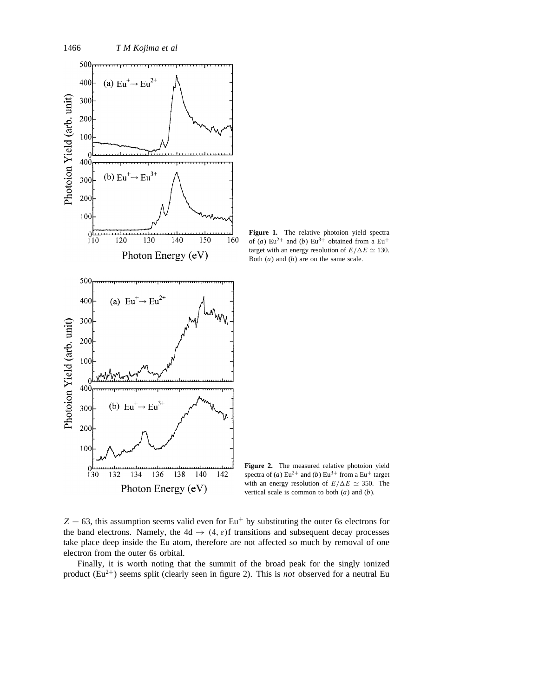

**Figure 1.** The relative photoion yield spectra of (*a*)  $Eu^{2+}$  and (*b*)  $Eu^{3+}$  obtained from a  $Eu^{+}$ target with an energy resolution of  $E/\Delta E \simeq 130$ . Both (*a*) and (*b*) are on the same scale.

**Figure 2.** The measured relative photoion yield spectra of (*a*) Eu<sup>2+</sup> and (*b*) Eu<sup>3+</sup> from a Eu<sup>+</sup> target with an energy resolution of  $E/\Delta E \simeq 350$ . The vertical scale is common to both (*a*) and (*b*).

 $Z = 63$ , this assumption seems valid even for Eu<sup>+</sup> by substituting the outer 6s electrons for the band electrons. Namely, the  $4d \rightarrow (4, \varepsilon)$ f transitions and subsequent decay processes take place deep inside the Eu atom, therefore are not affected so much by removal of one electron from the outer 6s orbital.

Finally, it is worth noting that the summit of the broad peak for the singly ionized product  $(Eu^{2+})$  seems split (clearly seen in figure 2). This is *not* observed for a neutral Eu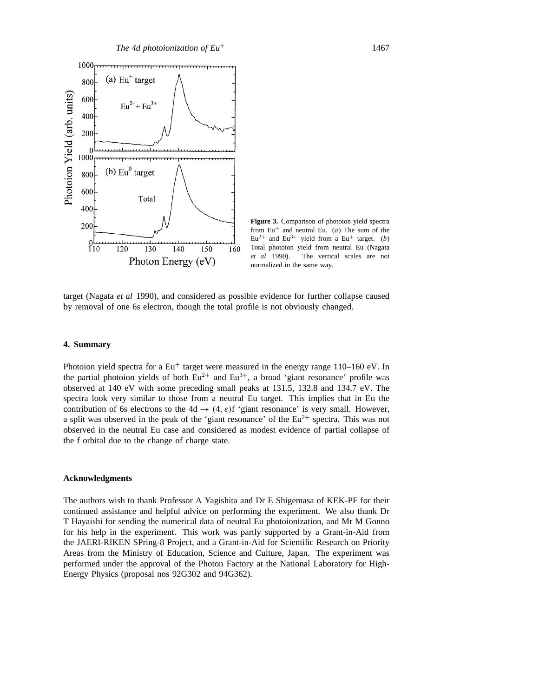

**Figure 3.** Comparison of photoion yield spectra from  $Eu^{+}$  and neutral Eu. (*a*) The sum of the  $Eu^{2+}$  and  $Eu^{3+}$  yield from a Eu<sup>+</sup> target. (*b*) Total photoion yield from neutral Eu (Nagata *et al* 1990). The vertical scales are not normalized in the same way.

target (Nagata *et al* 1990), and considered as possible evidence for further collapse caused by removal of one 6s electron, though the total profile is not obviously changed.

## **4. Summary**

Photoion yield spectra for a  $Eu^+$  target were measured in the energy range 110–160 eV. In the partial photoion yields of both  $Eu^{2+}$  and  $Eu^{3+}$ , a broad 'giant resonance' profile was observed at 140 eV with some preceding small peaks at 131.5, 132.8 and 134.7 eV. The spectra look very similar to those from a neutral Eu target. This implies that in Eu the contribution of 6s electrons to the  $4d \rightarrow (4, \varepsilon)f'$  giant resonance' is very small. However, a split was observed in the peak of the 'giant resonance' of the  $Eu^{2+}$  spectra. This was not observed in the neutral Eu case and considered as modest evidence of partial collapse of the f orbital due to the change of charge state.

#### **Acknowledgments**

The authors wish to thank Professor A Yagishita and Dr E Shigemasa of KEK-PF for their continued assistance and helpful advice on performing the experiment. We also thank Dr T Hayaishi for sending the numerical data of neutral Eu photoionization, and Mr M Gonno for his help in the experiment. This work was partly supported by a Grant-in-Aid from the JAERI-RIKEN SPring-8 Project, and a Grant-in-Aid for Scientific Research on Priority Areas from the Ministry of Education, Science and Culture, Japan. The experiment was performed under the approval of the Photon Factory at the National Laboratory for High-Energy Physics (proposal nos 92G302 and 94G362).